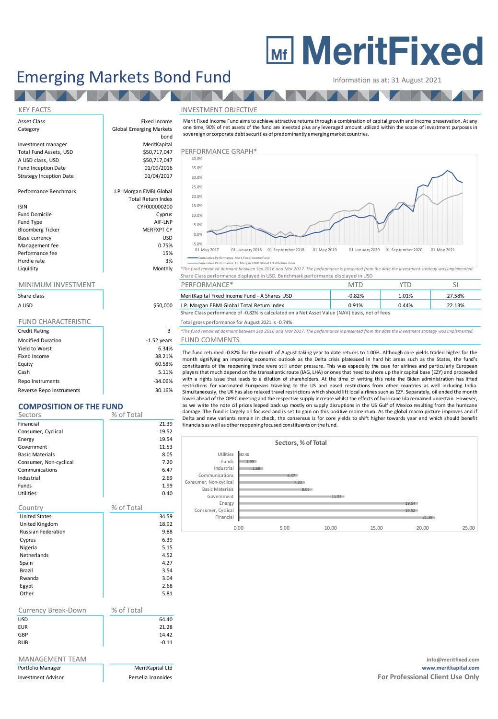# **MEDITY MeritFixed**

## Emerging Markets Bond Fund Information as at: 31 August 2021

**TANA A** 

#### KEY FACTS INVESTMENT OBJECTIVE

Asset Class **Fixed Income** Category **Global Emerging Markets** bond Investment manager MeritKapital Total Fund Assets, USD **\$50,717,047** PERFORMANCE GRAPH\* A USD class, USD  $\begin{array}{c|c} \hline \end{array}$  \$50,717,047 Fund Inception Date 01/09/2016 Strategy Inception Date 01/04/2017 Performance Benchmark J.P. Morgan EMBI Global Total Return Index ISIN CYF000000200 Fund Domicile **Cyprus** Fund Type AIF-LNP Bloomberg Ticker **MERFXPT CY** Base currency and the state of the USD USD USD Management fee between the contraction of the contraction of the contraction of the contraction of the contraction of the contraction of the contraction of the contraction of the contraction of the contraction of the contr Performance fee 15%

Merit Fixed Income Fund aims to achieve attractive returns through <sup>a</sup> combination of capital growth and income preservation. A t any one time, 90% of net assets of the fund are invested plus any leveraged amount utilized within the scope of investment purposes in sovereign or corporate debt securities of predominantly emerging market countries.



Cumulative Performance, J.P. Morgan EBMI Global Total Return Index

| Liquidity | Monthly | *The fund remained dormant between Sep 2016 and Mar 2017. The performance is presented from the date the investment strategy was implemented. |
|-----------|---------|-----------------------------------------------------------------------------------------------------------------------------------------------|
|           |         | Share Class performance displayed in USD, Benchmark performance displayed in USD                                                              |

| Share class |          | MeritKapital Fixed Income Fund - A Shares USD                                                  | $-0.82%$ | 1.01%    | 27.58% |
|-------------|----------|------------------------------------------------------------------------------------------------|----------|----------|--------|
| A USD       | \$50,000 | J.P. Morgan EBMI Global Total Return Index                                                     | 0.91%    | $0.44\%$ | 22.13% |
|             |          | Share Class performance of -0.82% is calculated on a Net Asset Value (NAV) basis, net of fees. |          |          |        |

Total gross performance for August 2021 is -0.74%

**B** <sup>\*</sup>The fund remained dormant between Sep 2016 and Mar 2017. The performance is presented from the date the investment strategy was implemented.

#### ars FUND COMMENTS

The fund returned -0.82% for the month of August taking year to date returns to 1.00%. Although core yields traded higher for the month signifying an improving economic outlook as the Delta crisis plateaued in hard hit areas such as the States, the fund's constituents of the reopening trade were still under pressure. This was especially the case for airlines and particularly European players that much depend on the transatlantic route (IAG, LHA) or ones that need to shore up their capital base (EZY) and proceeded with a rights issue that leads to a dilution of shareholders. At the time of writing this note the Biden administration has lifted restrictions for vaccinated Europeans traveling to the US and eased restrictions from other countries as well including India. Simultaneously, the UK has also relaxed travel restrictions which should lift local airlines such as EZY. Separately, oil ended the month lower ahead of the OPEC meeting and the respective supply increase whilst the effects of hurricane Ida remained uncertain. However, as we write the note oil prices leaped back up mostly on supply disruptions in the US Gulf of Mexico resulting from the hurricane damage. The fund is largely oil focused and is set to gain on this positive momentum. As the global macro picture improves and if Delta and new variants remain in check, the consensus is for core yields to shift higher towards year end which should benefit financials as well as otherreopening focused constituents on the fund.



Hurdle rate and the state of the 3% and 3% and 3% and 3% and 3% and 3% and 3% and 3% and 3% and 3% and 3% and 3% and 3% and 3% and 3% and 3% and 3% and 3% and 3% and 3% and 3% and 3% and 3% and 3% and 3% and 3% and 3% and

#### MINIMUM INVESTMENT THE RESERVE PERFORMANCE\* THE PERSON SILL SEE A RESERVE TO MTD TO SILL SITUATION SILL SEE A ST

| Share class                |               |
|----------------------------|---------------|
| A USD                      | \$50,000      |
|                            |               |
| <b>FUND CHARACTERISTIC</b> |               |
| <b>Credit Rating</b>       | B             |
| <b>Modified Duration</b>   | $-1.52$ years |
| Yield to Worst             | 6.34%         |
| Fixed Income               | 38.21%        |
| Equity                     | 60.58%        |
| Cash                       | 5.11%         |
| Repo Instruments           | $-34.06%$     |

Reverse Repo Instruments **1996** and 30.16%

### **COMPOSITION OF THE FUND**

|            | 21.39   |
|------------|---------|
|            | 19.52   |
|            | 19.54   |
|            | 11.53   |
|            | 8.05    |
|            | 7.20    |
|            | 6.47    |
|            | 2.69    |
|            | 1.99    |
|            | 0.40    |
| % of Total |         |
|            | 34.59   |
|            | 18.92   |
|            | 9.88    |
|            | 6.39    |
|            | 5.15    |
|            | 4.52    |
|            | 4.27    |
|            | 3.54    |
|            | 3.04    |
|            | 2.68    |
|            | 5.81    |
| % of Total |         |
|            | 64.40   |
|            | 21.28   |
|            | 14.42   |
|            | $-0.11$ |
|            |         |
|            |         |
|            |         |

info@meritfixed.com Portfolio Manager MeritKapital Ltd **www.meritkapital.com** Investment Advisor **For Professional Client Use Only Persella Ioannides For Professional Client Use Only**